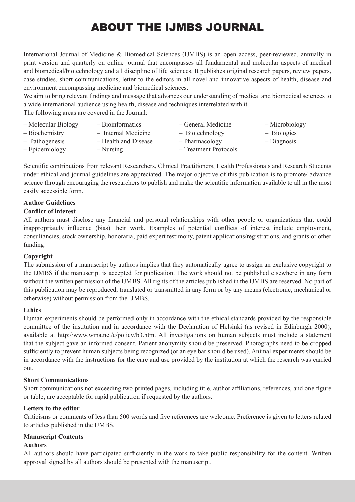# ABOUT THE IJMBS JOURNAL

International Journal of Medicine & Biomedical Sciences (IJMBS) is an open access, peer-reviewed, annually in print version and quarterly on online journal that encompasses all fundamental and molecular aspects of medical and biomedical/biotechnology and all discipline of life sciences. It publishes original research papers, review papers, case studies, short communications, letter to the editors in all novel and innovative aspects of health, disease and environment encompassing medicine and biomedical sciences.

We aim to bring relevant findings and message that advances our understanding of medical and biomedical sciences to a wide international audience using health, disease and techniques interrelated with it.

The following areas are covered in the Journal:

| - Molecular Biology | - Bioinformatics     | - General Medicine    | - Microbiology |
|---------------------|----------------------|-----------------------|----------------|
| - Biochemistry      | - Internal Medicine  | - Biotechnology       | $-$ Biologics  |
| - Pathogenesis      | - Health and Disease | - Pharmacology        | - Diagnosis    |
| - Epidemiology      | $-$ Nursing          | - Treatment Protocols |                |

Scientific contributions from relevant Researchers, Clinical Practitioners, Health Professionals and Research Students under ethical and journal guidelines are appreciated. The major objective of this publication is to promote/ advance science through encouraging the researchers to publish and make the scientific information available to all in the most easily accessible form.

# **Author Guidelines**

## **Conflict of interest**

All authors must disclose any financial and personal relationships with other people or organizations that could inappropriately influence (bias) their work. Examples of potential conflicts of interest include employment, consultancies, stock ownership, honoraria, paid expert testimony, patent applications/registrations, and grants or other funding.

## **Copyright**

The submission of a manuscript by authors implies that they automatically agree to assign an exclusive copyright to the IJMBS if the manuscript is accepted for publication. The work should not be published elsewhere in any form without the written permission of the IJMBS. All rights of the articles published in the IJMBS are reserved. No part of this publication may be reproduced, translated or transmitted in any form or by any means (electronic, mechanical or otherwise) without permission from the IJMBS.

## **Ethics**

Human experiments should be performed only in accordance with the ethical standards provided by the responsible committee of the institution and in accordance with the Declaration of Helsinki (as revised in Edinburgh 2000), available at http://www.wma.net/e/policy/b3.htm. All investigations on human subjects must include a statement that the subject gave an informed consent. Patient anonymity should be preserved. Photographs need to be cropped sufficiently to prevent human subjects being recognized (or an eye bar should be used). Animal experiments should be in accordance with the instructions for the care and use provided by the institution at which the research was carried out.

## **Short Communications**

Short communications not exceeding two printed pages, including title, author affiliations, references, and one figure or table, are acceptable for rapid publication if requested by the authors.

## **Letters to the editor**

Criticisms or comments of less than 500 words and five references are welcome. Preference is given to letters related to articles published in the IJMBS.

## **Manuscript Contents**

## **Authors**

All authors should have participated sufficiently in the work to take public responsibility for the content. Written approval signed by all authors should be presented with the manuscript.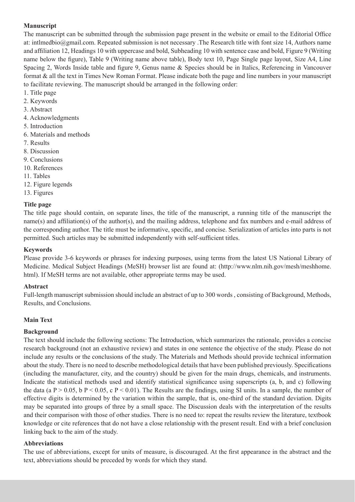# **Manuscript**

The manuscript can be submitted through the submission page present in the website or email to the Editorial Office at: intlmedbio@gmail.com. Repeated submission is not necessary .The Research title with font size 14, Authors name and affiliation 12, Headings 10 with uppercase and bold, Subheading 10 with sentence case and bold, Figure 9 (Writing name below the figure), Table 9 (Writing name above table), Body text 10, Page Single page layout, Size A4, Line Spacing 2, Words Inside table and figure 9, Genus name & Species should be in Italics, Referencing in Vancouver format & all the text in Times New Roman Format. Please indicate both the page and line numbers in your manuscript to facilitate reviewing. The manuscript should be arranged in the following order:

- 1. Title page
- 2. Keywords
- 3. Abstract
- 4. Acknowledgments
- 5. Introduction
- 6. Materials and methods
- 7. Results
- 8. Discussion
- 9. Conclusions
- 10. References
- 11. Tables
- 12. Figure legends
- 13. Figures

## **Title page**

The title page should contain, on separate lines, the title of the manuscript, a running title of the manuscript the name(s) and affiliation(s) of the author(s), and the mailing address, telephone and fax numbers and e-mail address of the corresponding author. The title must be informative, specific, and concise. Serialization of articles into parts is not permitted. Such articles may be submitted independently with self-sufficient titles.

## **Keywords**

Please provide 3-6 keywords or phrases for indexing purposes, using terms from the latest US National Library of Medicine. Medical Subject Headings (MeSH) browser list are found at: (http://www.nlm.nih.gov/mesh/meshhome. html). If MeSH terms are not available, other appropriate terms may be used.

## **Abstract**

Full-length manuscript submission should include an abstract of up to 300 words , consisting of Background, Methods, Results, and Conclusions.

## **Main Text**

## **Background**

The text should include the following sections: The Introduction, which summarizes the rationale, provides a concise research background (not an exhaustive review) and states in one sentence the objective of the study. Please do not include any results or the conclusions of the study. The Materials and Methods should provide technical information about the study. There is no need to describe methodological details that have been published previously. Specifications (including the manufacturer, city, and the country) should be given for the main drugs, chemicals, and instruments. Indicate the statistical methods used and identify statistical significance using superscripts (a, b, and c) following the data (a  $P > 0.05$ , b  $P < 0.05$ , c  $P < 0.01$ ). The Results are the findings, using SI units. In a sample, the number of effective digits is determined by the variation within the sample, that is, one-third of the standard deviation. Digits may be separated into groups of three by a small space. The Discussion deals with the interpretation of the results and their comparison with those of other studies. There is no need to: repeat the results review the literature, textbook knowledge or cite references that do not have a close relationship with the present result. End with a brief conclusion linking back to the aim of the study.

## **Abbreviations**

The use of abbreviations, except for units of measure, is discouraged. At the first appearance in the abstract and the text, abbreviations should be preceded by words for which they stand.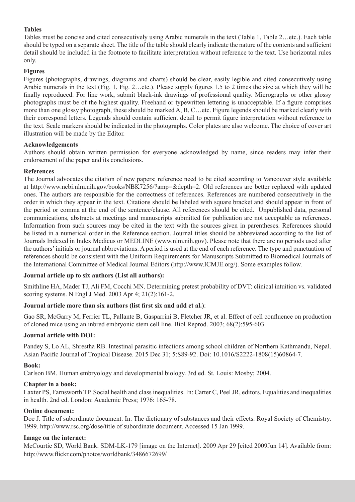# **Tables**

Tables must be concise and cited consecutively using Arabic numerals in the text (Table 1, Table 2…etc.). Each table should be typed on a separate sheet. The title of the table should clearly indicate the nature of the contents and sufficient detail should be included in the footnote to facilitate interpretation without reference to the text. Use horizontal rules only.

## **Figures**

Figures (photographs, drawings, diagrams and charts) should be clear, easily legible and cited consecutively using Arabic numerals in the text (Fig. 1, Fig. 2…etc.). Please supply figures 1.5 to 2 times the size at which they will be finally reproduced. For line work, submit black-ink drawings of professional quality. Micrographs or other glossy photographs must be of the highest quality. Freehand or typewritten lettering is unacceptable. If a figure comprises more than one glossy photograph, these should be marked A, B, C…etc. Figure legends should be marked clearly with their correspond letters. Legends should contain sufficient detail to permit figure interpretation without reference to the text. Scale markers should be indicated in the photographs. Color plates are also welcome. The choice of cover art illustration will be made by the Editor.

## **Acknowledgements**

Authors should obtain written permission for everyone acknowledged by name, since readers may infer their endorsement of the paper and its conclusions.

## **References**

The Journal advocates the citation of new papers; reference need to be cited according to Vancouver style available at http://www.ncbi.nlm.nih.gov/books/NBK7256/?amp=&depth=2. Old references are better replaced with updated ones. The authors are responsible for the correctness of references. References are numbered consecutively in the order in which they appear in the text. Citations should be labeled with square bracket and should appear in front of the period or comma at the end of the sentence/clause. All references should be cited. Unpublished data, personal communications, abstracts at meetings and manuscripts submitted for publication are not acceptable as references. Information from such sources may be cited in the text with the sources given in parentheses. References should be listed in a numerical order in the Reference section. Journal titles should be abbreviated according to the list of Journals Indexed in Index Medicus or MEDLINE (www.nlm.nih.gov). Please note that there are no periods used after the authors' initials or journal abbreviations. A period is used at the end of each reference. The type and punctuation of references should be consistent with the Uniform Requirements for Manuscripts Submitted to Biomedical Journals of the International Committee of Medical Journal Editors (http://www.ICMJE.org/). Some examples follow.

# **Journal article up to six authors (List all authors):**

Smithline HA, Mader TJ, Ali FM, Cocchi MN. Determining pretest probability of DVT: clinical intuition vs. validated scoring systems. N Engl J Med. 2003 Apr 4; 21(2):161-2.

# **Journal article more than six authors (list first six and add et al.)**:

Gao SR, McGarry M, Ferrier TL, Pallante B, Gasparrini B, Fletcher JR, et al. Effect of cell confluence on production of cloned mice using an inbred embryonic stem cell line. Biol Reprod. 2003; 68(2):595-603.

## **Journal article with DOI:**

Pandey S, Lo AL, Shrestha RB. Intestinal parasitic infections among school children of Northern Kathmandu, Nepal. Asian Pacific Journal of Tropical Disease. 2015 Dec 31; 5:S89-92. Doi: 10.1016/S2222-1808(15)60864-7.

# **Book:**

Carlson BM. Human embryology and developmental biology. 3rd ed. St. Louis: Mosby; 2004.

## **Chapter in a book:**

Laxter PS, Farnsworth TP. Social health and class inequalities. In: Carter C, Peel JR, editors. Equalities and inequalities in health. 2nd ed. London: Academic Press; 1976: 165-78.

## **Online document:**

Doe J. Title of subordinate document. In: The dictionary of substances and their effects. Royal Society of Chemistry. 1999. http://www.rsc.org/dose/title of subordinate document. Accessed 15 Jan 1999.

## **Image on the internet:**

McCourtie SD, World Bank. SDM-LK-179 [image on the Internet]. 2009 Apr 29 [cited 2009Jun 14]. Available from: http://www.flickr.com/photos/worldbank/3486672699/